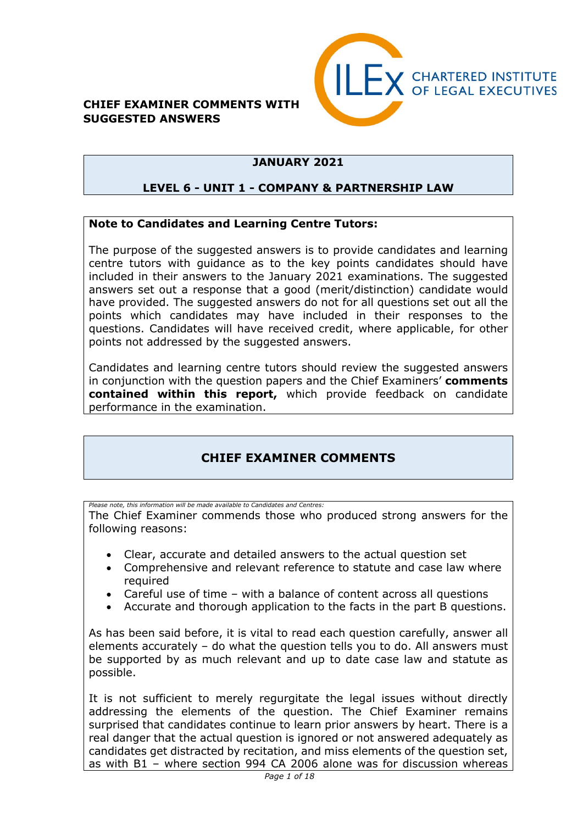#### **CHIEF EXAMINER COMMENTS WITH SUGGESTED ANSWERS**



## **JANUARY 2021**

### **LEVEL 6 - UNIT 1 - COMPANY & PARTNERSHIP LAW**

### **Note to Candidates and Learning Centre Tutors:**

The purpose of the suggested answers is to provide candidates and learning centre tutors with guidance as to the key points candidates should have included in their answers to the January 2021 examinations. The suggested answers set out a response that a good (merit/distinction) candidate would have provided. The suggested answers do not for all questions set out all the points which candidates may have included in their responses to the questions. Candidates will have received credit, where applicable, for other points not addressed by the suggested answers.

Candidates and learning centre tutors should review the suggested answers in conjunction with the question papers and the Chief Examiners' **comments contained within this report,** which provide feedback on candidate performance in the examination.

## **CHIEF EXAMINER COMMENTS**

*Please note, this information will be made available to Candidates and Centres:*  The Chief Examiner commends those who produced strong answers for the following reasons:

- Clear, accurate and detailed answers to the actual question set
- Comprehensive and relevant reference to statute and case law where required
- Careful use of time with a balance of content across all questions
- Accurate and thorough application to the facts in the part B questions.

As has been said before, it is vital to read each question carefully, answer all elements accurately – do what the question tells you to do. All answers must be supported by as much relevant and up to date case law and statute as possible.

It is not sufficient to merely regurgitate the legal issues without directly addressing the elements of the question. The Chief Examiner remains surprised that candidates continue to learn prior answers by heart. There is a real danger that the actual question is ignored or not answered adequately as candidates get distracted by recitation, and miss elements of the question set, as with B1 – where section 994 CA 2006 alone was for discussion whereas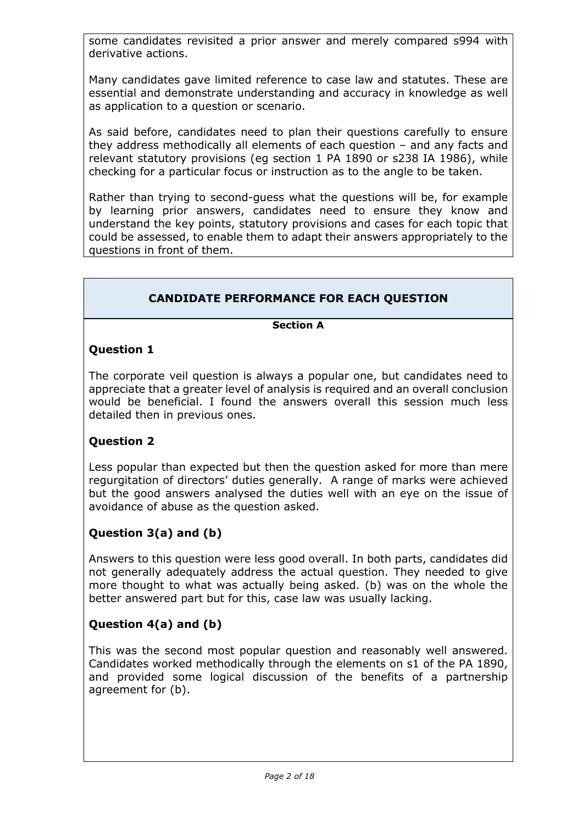some candidates revisited a prior answer and merely compared s994 with derivative actions.

Many candidates gave limited reference to case law and statutes. These are essential and demonstrate understanding and accuracy in knowledge as well as application to a question or scenario.

As said before, candidates need to plan their questions carefully to ensure they address methodically all elements of each question – and any facts and relevant statutory provisions (eg section 1 PA 1890 or s238 IA 1986), while checking for a particular focus or instruction as to the angle to be taken.

Rather than trying to second-guess what the questions will be, for example by learning prior answers, candidates need to ensure they know and understand the key points, statutory provisions and cases for each topic that could be assessed, to enable them to adapt their answers appropriately to the questions in front of them.

## **CANDIDATE PERFORMANCE FOR EACH QUESTION**

#### **Section A**

### **Question 1**

The corporate veil question is always a popular one, but candidates need to appreciate that a greater level of analysis is required and an overall conclusion would be beneficial. I found the answers overall this session much less detailed then in previous ones.

### **Question 2**

Less popular than expected but then the question asked for more than mere regurgitation of directors' duties generally. A range of marks were achieved but the good answers analysed the duties well with an eye on the issue of avoidance of abuse as the question asked.

## **Question 3(a) and (b)**

Answers to this question were less good overall. In both parts, candidates did not generally adequately address the actual question. They needed to give more thought to what was actually being asked. (b) was on the whole the better answered part but for this, case law was usually lacking.

### **Question 4(a) and (b)**

This was the second most popular question and reasonably well answered. Candidates worked methodically through the elements on s1 of the PA 1890, and provided some logical discussion of the benefits of a partnership agreement for (b).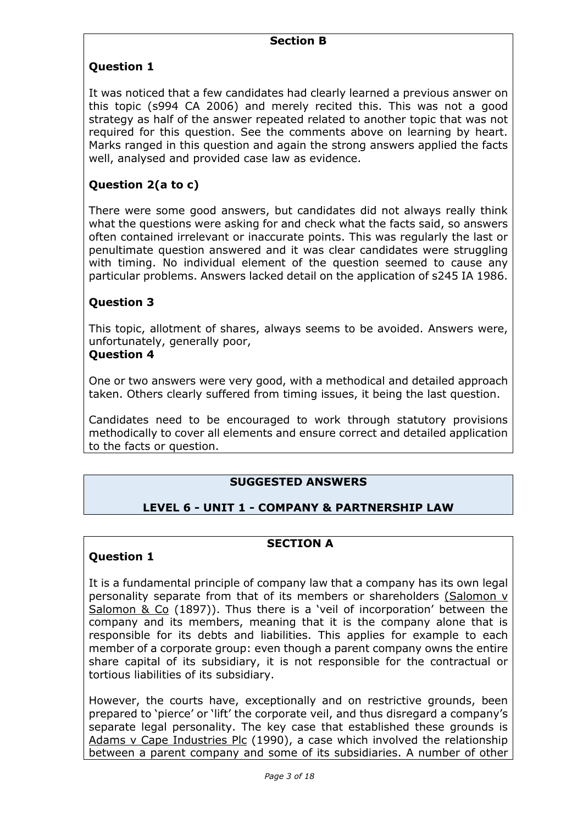## **Question 1**

It was noticed that a few candidates had clearly learned a previous answer on this topic (s994 CA 2006) and merely recited this. This was not a good strategy as half of the answer repeated related to another topic that was not required for this question. See the comments above on learning by heart. Marks ranged in this question and again the strong answers applied the facts well, analysed and provided case law as evidence.

## **Question 2(a to c)**

There were some good answers, but candidates did not always really think what the questions were asking for and check what the facts said, so answers often contained irrelevant or inaccurate points. This was regularly the last or penultimate question answered and it was clear candidates were struggling with timing. No individual element of the question seemed to cause any particular problems. Answers lacked detail on the application of s245 IA 1986.

### **Question 3**

This topic, allotment of shares, always seems to be avoided. Answers were, unfortunately, generally poor,

#### **Question 4**

One or two answers were very good, with a methodical and detailed approach taken. Others clearly suffered from timing issues, it being the last question.

Candidates need to be encouraged to work through statutory provisions methodically to cover all elements and ensure correct and detailed application to the facts or question.

### **SUGGESTED ANSWERS**

## **LEVEL 6 - UNIT 1 - COMPANY & PARTNERSHIP LAW**

# **SECTION A**

### **Question 1**

It is a fundamental principle of company law that a company has its own legal personality separate from that of its members or shareholders (Salomon v Salomon & Co (1897)). Thus there is a 'veil of incorporation' between the company and its members, meaning that it is the company alone that is responsible for its debts and liabilities. This applies for example to each member of a corporate group: even though a parent company owns the entire share capital of its subsidiary, it is not responsible for the contractual or tortious liabilities of its subsidiary.

However, the courts have, exceptionally and on restrictive grounds, been prepared to 'pierce' or 'lift' the corporate veil, and thus disregard a company's separate legal personality. The key case that established these grounds is Adams v Cape Industries Plc (1990), a case which involved the relationship between a parent company and some of its subsidiaries. A number of other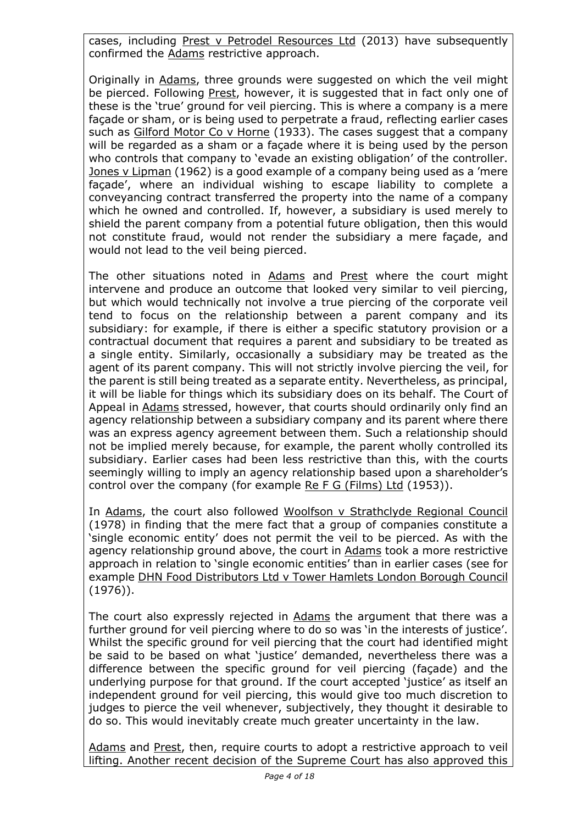cases, including Prest v Petrodel Resources Ltd (2013) have subsequently confirmed the Adams restrictive approach.

Originally in Adams, three grounds were suggested on which the veil might be pierced. Following Prest, however, it is suggested that in fact only one of these is the 'true' ground for veil piercing. This is where a company is a mere façade or sham, or is being used to perpetrate a fraud, reflecting earlier cases such as Gilford Motor Co v Horne (1933). The cases suggest that a company will be regarded as a sham or a façade where it is being used by the person who controls that company to 'evade an existing obligation' of the controller. Jones v Lipman (1962) is a good example of a company being used as a 'mere façade', where an individual wishing to escape liability to complete a conveyancing contract transferred the property into the name of a company which he owned and controlled. If, however, a subsidiary is used merely to shield the parent company from a potential future obligation, then this would not constitute fraud, would not render the subsidiary a mere façade, and would not lead to the veil being pierced.

The other situations noted in Adams and Prest where the court might intervene and produce an outcome that looked very similar to veil piercing, but which would technically not involve a true piercing of the corporate veil tend to focus on the relationship between a parent company and its subsidiary: for example, if there is either a specific statutory provision or a contractual document that requires a parent and subsidiary to be treated as a single entity. Similarly, occasionally a subsidiary may be treated as the agent of its parent company. This will not strictly involve piercing the veil, for the parent is still being treated as a separate entity. Nevertheless, as principal, it will be liable for things which its subsidiary does on its behalf. The Court of Appeal in Adams stressed, however, that courts should ordinarily only find an agency relationship between a subsidiary company and its parent where there was an express agency agreement between them. Such a relationship should not be implied merely because, for example, the parent wholly controlled its subsidiary. Earlier cases had been less restrictive than this, with the courts seemingly willing to imply an agency relationship based upon a shareholder's control over the company (for example Re F G (Films) Ltd (1953)).

In Adams, the court also followed Woolfson v Strathclyde Regional Council (1978) in finding that the mere fact that a group of companies constitute a 'single economic entity' does not permit the veil to be pierced. As with the agency relationship ground above, the court in Adams took a more restrictive approach in relation to 'single economic entities' than in earlier cases (see for example DHN Food Distributors Ltd v Tower Hamlets London Borough Council (1976)).

The court also expressly rejected in Adams the argument that there was a further ground for veil piercing where to do so was 'in the interests of justice'. Whilst the specific ground for veil piercing that the court had identified might be said to be based on what 'justice' demanded, nevertheless there was a difference between the specific ground for veil piercing (façade) and the underlying purpose for that ground. If the court accepted 'justice' as itself an independent ground for veil piercing, this would give too much discretion to judges to pierce the veil whenever, subjectively, they thought it desirable to do so. This would inevitably create much greater uncertainty in the law.

Adams and Prest, then, require courts to adopt a restrictive approach to veil lifting. Another recent decision of the Supreme Court has also approved this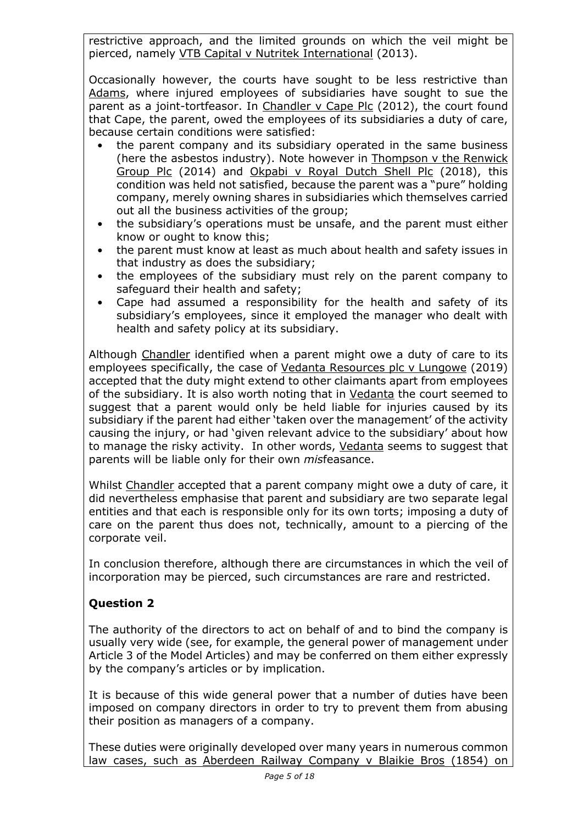restrictive approach, and the limited grounds on which the veil might be pierced, namely VTB Capital v Nutritek International (2013).

Occasionally however, the courts have sought to be less restrictive than Adams, where injured employees of subsidiaries have sought to sue the parent as a joint-tortfeasor. In Chandler v Cape Plc (2012), the court found that Cape, the parent, owed the employees of its subsidiaries a duty of care, because certain conditions were satisfied:

- **•** the parent company and its subsidiary operated in the same business (here the asbestos industry). Note however in Thompson v the Renwick Group Plc (2014) and Okpabi v Royal Dutch Shell Plc (2018), this condition was held not satisfied, because the parent was a "pure" holding company, merely owning shares in subsidiaries which themselves carried out all the business activities of the group;
- **•** the subsidiary's operations must be unsafe, and the parent must either know or ought to know this;
- **•** the parent must know at least as much about health and safety issues in that industry as does the subsidiary;
- **•** the employees of the subsidiary must rely on the parent company to safeguard their health and safety;
- **•** Cape had assumed a responsibility for the health and safety of its subsidiary's employees, since it employed the manager who dealt with health and safety policy at its subsidiary.

Although Chandler identified when a parent might owe a duty of care to its employees specifically, the case of Vedanta Resources plc v Lungowe (2019) accepted that the duty might extend to other claimants apart from employees of the subsidiary. It is also worth noting that in Vedanta the court seemed to suggest that a parent would only be held liable for injuries caused by its subsidiary if the parent had either 'taken over the management' of the activity causing the injury, or had 'given relevant advice to the subsidiary' about how to manage the risky activity. In other words, Vedanta seems to suggest that parents will be liable only for their own *mis*feasance.

Whilst Chandler accepted that a parent company might owe a duty of care, it did nevertheless emphasise that parent and subsidiary are two separate legal entities and that each is responsible only for its own torts; imposing a duty of care on the parent thus does not, technically, amount to a piercing of the corporate veil.

In conclusion therefore, although there are circumstances in which the veil of incorporation may be pierced, such circumstances are rare and restricted.

## **Question 2**

The authority of the directors to act on behalf of and to bind the company is usually very wide (see, for example, the general power of management under Article 3 of the Model Articles) and may be conferred on them either expressly by the company's articles or by implication.

It is because of this wide general power that a number of duties have been imposed on company directors in order to try to prevent them from abusing their position as managers of a company.

These duties were originally developed over many years in numerous common law cases, such as Aberdeen Railway Company v Blaikie Bros (1854) on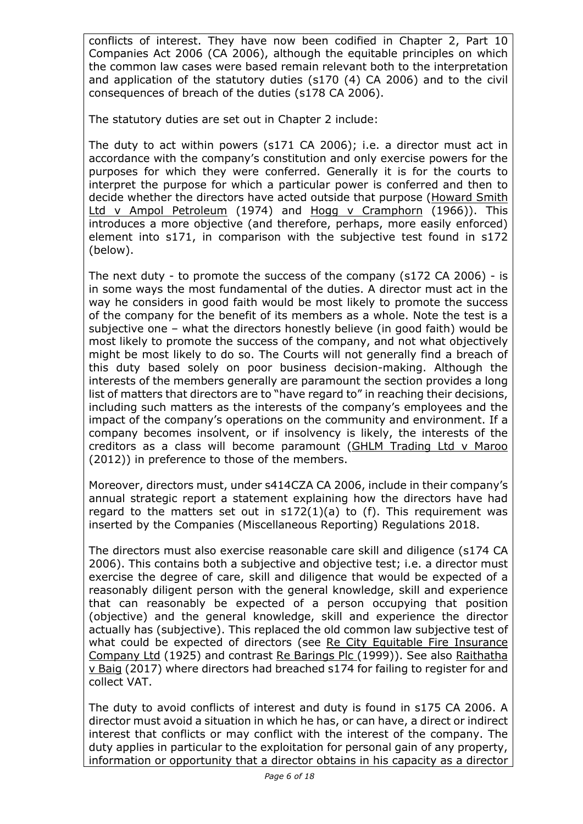conflicts of interest. They have now been codified in Chapter 2, Part 10 Companies Act 2006 (CA 2006), although the equitable principles on which the common law cases were based remain relevant both to the interpretation and application of the statutory duties (s170 (4) CA 2006) and to the civil consequences of breach of the duties (s178 CA 2006).

The statutory duties are set out in Chapter 2 include:

The duty to act within powers (s171 CA 2006); i.e. a director must act in accordance with the company's constitution and only exercise powers for the purposes for which they were conferred. Generally it is for the courts to interpret the purpose for which a particular power is conferred and then to decide whether the directors have acted outside that purpose (Howard Smith Ltd v Ampol Petroleum (1974) and Hogg v Cramphorn (1966)). This introduces a more objective (and therefore, perhaps, more easily enforced) element into s171, in comparison with the subjective test found in s172 (below).

The next duty - to promote the success of the company (s172 CA 2006) - is in some ways the most fundamental of the duties. A director must act in the way he considers in good faith would be most likely to promote the success of the company for the benefit of its members as a whole. Note the test is a subjective one – what the directors honestly believe (in good faith) would be most likely to promote the success of the company, and not what objectively might be most likely to do so. The Courts will not generally find a breach of this duty based solely on poor business decision-making. Although the interests of the members generally are paramount the section provides a long list of matters that directors are to "have regard to" in reaching their decisions, including such matters as the interests of the company's employees and the impact of the company's operations on the community and environment. If a company becomes insolvent, or if insolvency is likely, the interests of the creditors as a class will become paramount (GHLM Trading Ltd v Maroo (2012)) in preference to those of the members.

Moreover, directors must, under s414CZA CA 2006, include in their company's annual strategic report a statement explaining how the directors have had regard to the matters set out in  $s172(1)(a)$  to (f). This requirement was inserted by the Companies (Miscellaneous Reporting) Regulations 2018.

The directors must also exercise reasonable care skill and diligence (s174 CA 2006). This contains both a subjective and objective test; i.e. a director must exercise the degree of care, skill and diligence that would be expected of a reasonably diligent person with the general knowledge, skill and experience that can reasonably be expected of a person occupying that position (objective) and the general knowledge, skill and experience the director actually has (subjective). This replaced the old common law subjective test of what could be expected of directors (see Re City Equitable Fire Insurance Company Ltd (1925) and contrast Re Barings Plc (1999)). See also Raithatha v Baig (2017) where directors had breached s174 for failing to register for and collect VAT.

The duty to avoid conflicts of interest and duty is found in s175 CA 2006. A director must avoid a situation in which he has, or can have, a direct or indirect interest that conflicts or may conflict with the interest of the company. The duty applies in particular to the exploitation for personal gain of any property, information or opportunity that a director obtains in his capacity as a director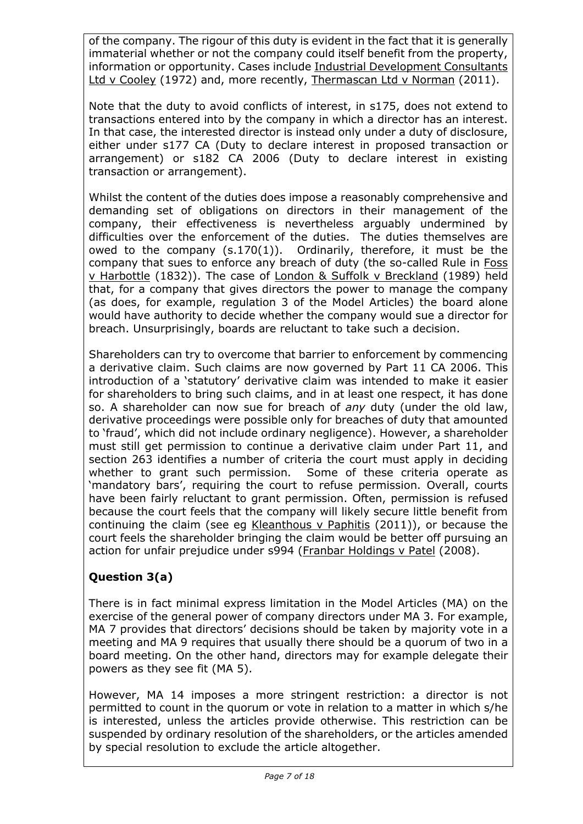of the company. The rigour of this duty is evident in the fact that it is generally immaterial whether or not the company could itself benefit from the property, information or opportunity. Cases include Industrial Development Consultants Ltd v Cooley (1972) and, more recently, Thermascan Ltd v Norman (2011).

Note that the duty to avoid conflicts of interest, in s175, does not extend to transactions entered into by the company in which a director has an interest. In that case, the interested director is instead only under a duty of disclosure, either under s177 CA (Duty to declare interest in proposed transaction or arrangement) or s182 CA 2006 (Duty to declare interest in existing transaction or arrangement).

Whilst the content of the duties does impose a reasonably comprehensive and demanding set of obligations on directors in their management of the company, their effectiveness is nevertheless arguably undermined by difficulties over the enforcement of the duties. The duties themselves are owed to the company (s.170(1)). Ordinarily, therefore, it must be the company that sues to enforce any breach of duty (the so-called Rule in Foss v Harbottle (1832)). The case of London & Suffolk v Breckland (1989) held that, for a company that gives directors the power to manage the company (as does, for example, regulation 3 of the Model Articles) the board alone would have authority to decide whether the company would sue a director for breach. Unsurprisingly, boards are reluctant to take such a decision.

Shareholders can try to overcome that barrier to enforcement by commencing a derivative claim. Such claims are now governed by Part 11 CA 2006. This introduction of a 'statutory' derivative claim was intended to make it easier for shareholders to bring such claims, and in at least one respect, it has done so. A shareholder can now sue for breach of *any* duty (under the old law, derivative proceedings were possible only for breaches of duty that amounted to 'fraud', which did not include ordinary negligence). However, a shareholder must still get permission to continue a derivative claim under Part 11, and section 263 identifies a number of criteria the court must apply in deciding whether to grant such permission. Some of these criteria operate as 'mandatory bars', requiring the court to refuse permission. Overall, courts have been fairly reluctant to grant permission. Often, permission is refused because the court feels that the company will likely secure little benefit from continuing the claim (see eg Kleanthous v Paphitis (2011)), or because the court feels the shareholder bringing the claim would be better off pursuing an action for unfair prejudice under s994 (Franbar Holdings v Patel (2008).

# **Question 3(a)**

There is in fact minimal express limitation in the Model Articles (MA) on the exercise of the general power of company directors under MA 3. For example, MA 7 provides that directors' decisions should be taken by majority vote in a meeting and MA 9 requires that usually there should be a quorum of two in a board meeting. On the other hand, directors may for example delegate their powers as they see fit (MA 5).

However, MA 14 imposes a more stringent restriction: a director is not permitted to count in the quorum or vote in relation to a matter in which s/he is interested, unless the articles provide otherwise. This restriction can be suspended by ordinary resolution of the shareholders, or the articles amended by special resolution to exclude the article altogether.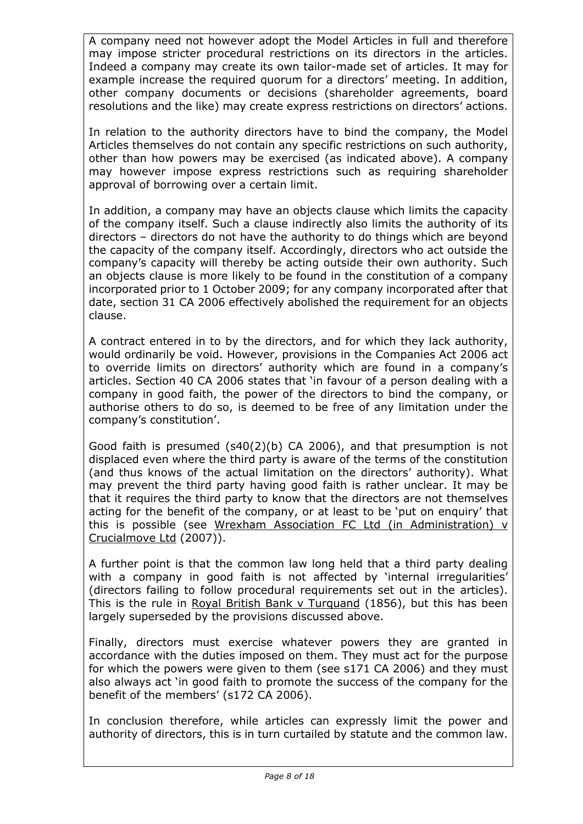A company need not however adopt the Model Articles in full and therefore may impose stricter procedural restrictions on its directors in the articles. Indeed a company may create its own tailor-made set of articles. It may for example increase the required quorum for a directors' meeting. In addition, other company documents or decisions (shareholder agreements, board resolutions and the like) may create express restrictions on directors' actions.

In relation to the authority directors have to bind the company, the Model Articles themselves do not contain any specific restrictions on such authority, other than how powers may be exercised (as indicated above). A company may however impose express restrictions such as requiring shareholder approval of borrowing over a certain limit.

In addition, a company may have an objects clause which limits the capacity of the company itself. Such a clause indirectly also limits the authority of its directors – directors do not have the authority to do things which are beyond the capacity of the company itself. Accordingly, directors who act outside the company's capacity will thereby be acting outside their own authority. Such an objects clause is more likely to be found in the constitution of a company incorporated prior to 1 October 2009; for any company incorporated after that date, section 31 CA 2006 effectively abolished the requirement for an objects clause.

A contract entered in to by the directors, and for which they lack authority, would ordinarily be void. However, provisions in the Companies Act 2006 act to override limits on directors' authority which are found in a company's articles. Section 40 CA 2006 states that 'in favour of a person dealing with a company in good faith, the power of the directors to bind the company, or authorise others to do so, is deemed to be free of any limitation under the company's constitution'.

Good faith is presumed (s40(2)(b) CA 2006), and that presumption is not displaced even where the third party is aware of the terms of the constitution (and thus knows of the actual limitation on the directors' authority). What may prevent the third party having good faith is rather unclear. It may be that it requires the third party to know that the directors are not themselves acting for the benefit of the company, or at least to be 'put on enquiry' that this is possible (see Wrexham Association FC Ltd (in Administration) v Crucialmove Ltd (2007)).

A further point is that the common law long held that a third party dealing with a company in good faith is not affected by 'internal irregularities' (directors failing to follow procedural requirements set out in the articles). This is the rule in Royal British Bank v Turquand (1856), but this has been largely superseded by the provisions discussed above.

Finally, directors must exercise whatever powers they are granted in accordance with the duties imposed on them. They must act for the purpose for which the powers were given to them (see s171 CA 2006) and they must also always act 'in good faith to promote the success of the company for the benefit of the members' (s172 CA 2006).

In conclusion therefore, while articles can expressly limit the power and authority of directors, this is in turn curtailed by statute and the common law.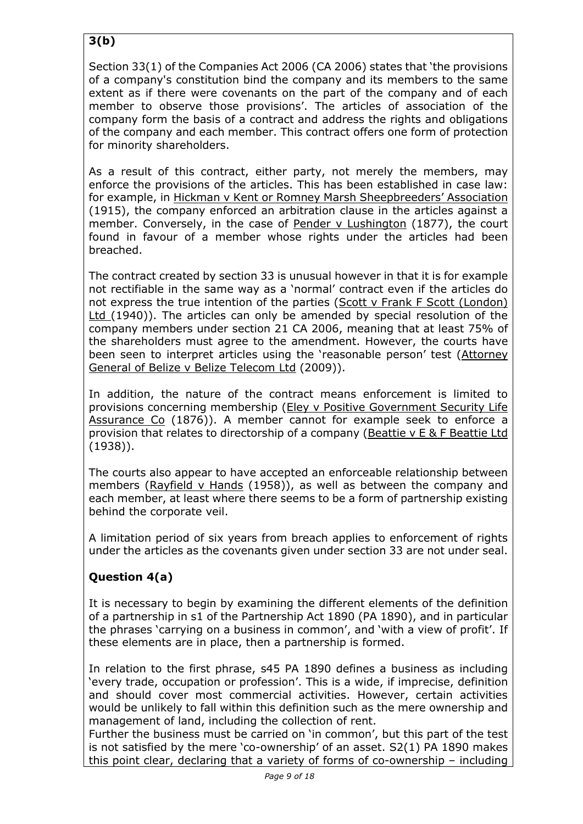# **3(b)**

Section 33(1) of the Companies Act 2006 (CA 2006) states that 'the provisions of a company's constitution bind the company and its members to the same extent as if there were covenants on the part of the company and of each member to observe those provisions'. The articles of association of the company form the basis of a contract and address the rights and obligations of the company and each member. This contract offers one form of protection for minority shareholders.

As a result of this contract, either party, not merely the members, may enforce the provisions of the articles. This has been established in case law: for example, in Hickman v Kent or Romney Marsh Sheepbreeders' Association (1915), the company enforced an arbitration clause in the articles against a member. Conversely, in the case of Pender v Lushington (1877), the court found in favour of a member whose rights under the articles had been breached.

The contract created by section 33 is unusual however in that it is for example not rectifiable in the same way as a 'normal' contract even if the articles do not express the true intention of the parties (Scott v Frank F Scott (London) Ltd (1940)). The articles can only be amended by special resolution of the company members under section 21 CA 2006, meaning that at least 75% of the shareholders must agree to the amendment. However, the courts have been seen to interpret articles using the 'reasonable person' test (Attorney General of Belize v Belize Telecom Ltd (2009)).

In addition, the nature of the contract means enforcement is limited to provisions concerning membership (Eley v Positive Government Security Life Assurance Co (1876)). A member cannot for example seek to enforce a provision that relates to directorship of a company (Beattie v E & F Beattie Ltd (1938)).

The courts also appear to have accepted an enforceable relationship between members (Rayfield v Hands (1958)), as well as between the company and each member, at least where there seems to be a form of partnership existing behind the corporate veil.

A limitation period of six years from breach applies to enforcement of rights under the articles as the covenants given under section 33 are not under seal.

# **Question 4(a)**

It is necessary to begin by examining the different elements of the definition of a partnership in s1 of the Partnership Act 1890 (PA 1890), and in particular the phrases 'carrying on a business in common', and 'with a view of profit'. If these elements are in place, then a partnership is formed.

In relation to the first phrase, s45 PA 1890 defines a business as including 'every trade, occupation or profession'. This is a wide, if imprecise, definition and should cover most commercial activities. However, certain activities would be unlikely to fall within this definition such as the mere ownership and management of land, including the collection of rent.

Further the business must be carried on 'in common', but this part of the test is not satisfied by the mere 'co-ownership' of an asset. S2(1) PA 1890 makes this point clear, declaring that a variety of forms of co-ownership – including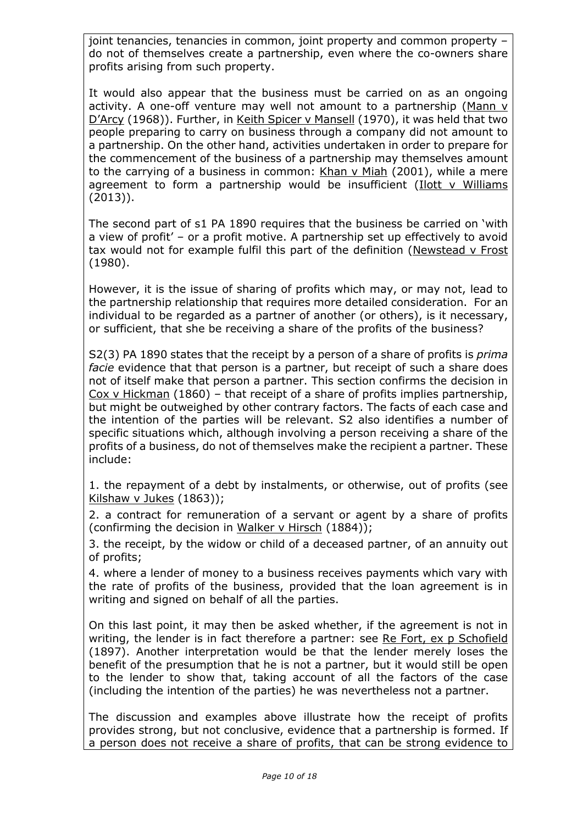joint tenancies, tenancies in common, joint property and common property – do not of themselves create a partnership, even where the co-owners share profits arising from such property.

It would also appear that the business must be carried on as an ongoing activity. A one-off venture may well not amount to a partnership (Mann v D'Arcy (1968)). Further, in Keith Spicer v Mansell (1970), it was held that two people preparing to carry on business through a company did not amount to a partnership. On the other hand, activities undertaken in order to prepare for the commencement of the business of a partnership may themselves amount to the carrying of a business in common: Khan v Miah (2001), while a mere agreement to form a partnership would be insufficient ( $I$ lott v Williams (2013)).

The second part of s1 PA 1890 requires that the business be carried on 'with a view of profit' – or a profit motive. A partnership set up effectively to avoid tax would not for example fulfil this part of the definition (Newstead v Frost (1980).

However, it is the issue of sharing of profits which may, or may not, lead to the partnership relationship that requires more detailed consideration. For an individual to be regarded as a partner of another (or others), is it necessary, or sufficient, that she be receiving a share of the profits of the business?

S2(3) PA 1890 states that the receipt by a person of a share of profits is *prima facie* evidence that that person is a partner, but receipt of such a share does not of itself make that person a partner. This section confirms the decision in Cox v Hickman (1860) – that receipt of a share of profits implies partnership, but might be outweighed by other contrary factors. The facts of each case and the intention of the parties will be relevant. S2 also identifies a number of specific situations which, although involving a person receiving a share of the profits of a business, do not of themselves make the recipient a partner. These include:

1. the repayment of a debt by instalments, or otherwise, out of profits (see Kilshaw v Jukes (1863));

2. a contract for remuneration of a servant or agent by a share of profits (confirming the decision in Walker v Hirsch (1884));

3. the receipt, by the widow or child of a deceased partner, of an annuity out of profits;

4. where a lender of money to a business receives payments which vary with the rate of profits of the business, provided that the loan agreement is in writing and signed on behalf of all the parties.

On this last point, it may then be asked whether, if the agreement is not in writing, the lender is in fact therefore a partner: see Re Fort, ex p Schofield (1897). Another interpretation would be that the lender merely loses the benefit of the presumption that he is not a partner, but it would still be open to the lender to show that, taking account of all the factors of the case (including the intention of the parties) he was nevertheless not a partner.

The discussion and examples above illustrate how the receipt of profits provides strong, but not conclusive, evidence that a partnership is formed. If a person does not receive a share of profits, that can be strong evidence to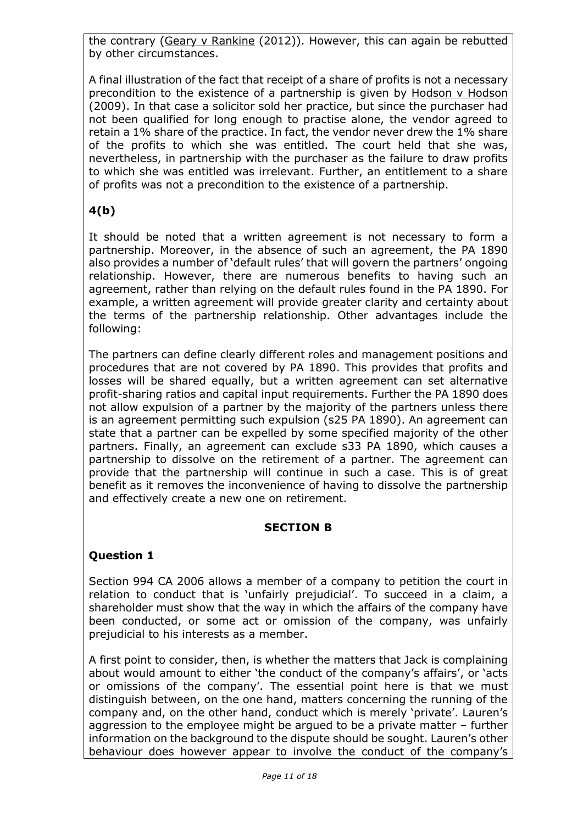the contrary (Geary v Rankine (2012)). However, this can again be rebutted by other circumstances.

A final illustration of the fact that receipt of a share of profits is not a necessary precondition to the existence of a partnership is given by Hodson v Hodson (2009). In that case a solicitor sold her practice, but since the purchaser had not been qualified for long enough to practise alone, the vendor agreed to retain a 1% share of the practice. In fact, the vendor never drew the 1% share of the profits to which she was entitled. The court held that she was, nevertheless, in partnership with the purchaser as the failure to draw profits to which she was entitled was irrelevant. Further, an entitlement to a share of profits was not a precondition to the existence of a partnership.

# **4(b)**

It should be noted that a written agreement is not necessary to form a partnership. Moreover, in the absence of such an agreement, the PA 1890 also provides a number of 'default rules' that will govern the partners' ongoing relationship. However, there are numerous benefits to having such an agreement, rather than relying on the default rules found in the PA 1890. For example, a written agreement will provide greater clarity and certainty about the terms of the partnership relationship. Other advantages include the following:

The partners can define clearly different roles and management positions and procedures that are not covered by PA 1890. This provides that profits and losses will be shared equally, but a written agreement can set alternative profit-sharing ratios and capital input requirements. Further the PA 1890 does not allow expulsion of a partner by the majority of the partners unless there is an agreement permitting such expulsion (s25 PA 1890). An agreement can state that a partner can be expelled by some specified majority of the other partners. Finally, an agreement can exclude s33 PA 1890, which causes a partnership to dissolve on the retirement of a partner. The agreement can provide that the partnership will continue in such a case. This is of great benefit as it removes the inconvenience of having to dissolve the partnership and effectively create a new one on retirement.

## **SECTION B**

## **Question 1**

Section 994 CA 2006 allows a member of a company to petition the court in relation to conduct that is 'unfairly prejudicial'. To succeed in a claim, a shareholder must show that the way in which the affairs of the company have been conducted, or some act or omission of the company, was unfairly prejudicial to his interests as a member.

A first point to consider, then, is whether the matters that Jack is complaining about would amount to either 'the conduct of the company's affairs', or 'acts or omissions of the company'. The essential point here is that we must distinguish between, on the one hand, matters concerning the running of the company and, on the other hand, conduct which is merely 'private'. Lauren's aggression to the employee might be argued to be a private matter – further information on the background to the dispute should be sought. Lauren's other behaviour does however appear to involve the conduct of the company's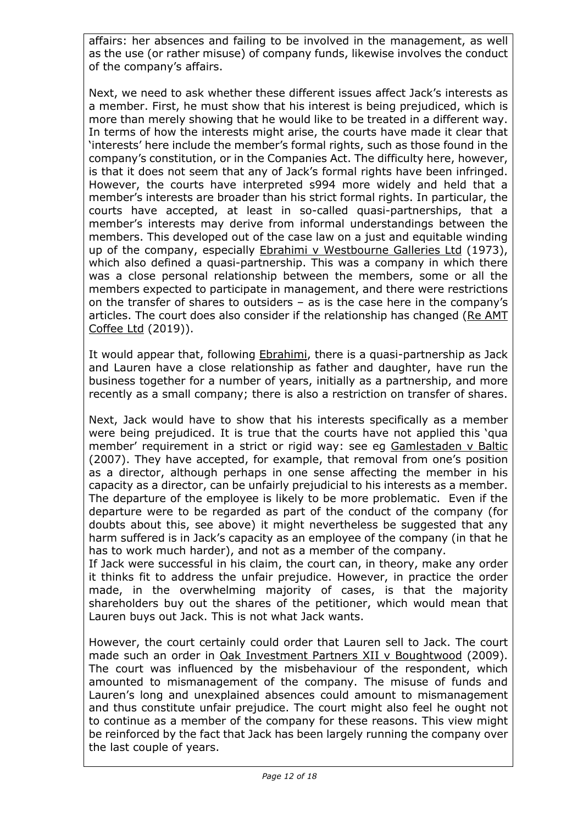affairs: her absences and failing to be involved in the management, as well as the use (or rather misuse) of company funds, likewise involves the conduct of the company's affairs.

Next, we need to ask whether these different issues affect Jack's interests as a member. First, he must show that his interest is being prejudiced, which is more than merely showing that he would like to be treated in a different way. In terms of how the interests might arise, the courts have made it clear that 'interests' here include the member's formal rights, such as those found in the company's constitution, or in the Companies Act. The difficulty here, however, is that it does not seem that any of Jack's formal rights have been infringed. However, the courts have interpreted s994 more widely and held that a member's interests are broader than his strict formal rights. In particular, the courts have accepted, at least in so-called quasi-partnerships, that a member's interests may derive from informal understandings between the members. This developed out of the case law on a just and equitable winding up of the company, especially Ebrahimi v Westbourne Galleries Ltd (1973), which also defined a quasi-partnership. This was a company in which there was a close personal relationship between the members, some or all the members expected to participate in management, and there were restrictions on the transfer of shares to outsiders – as is the case here in the company's articles. The court does also consider if the relationship has changed (Re AMT Coffee Ltd (2019)).

It would appear that, following **Ebrahimi**, there is a quasi-partnership as Jack and Lauren have a close relationship as father and daughter, have run the business together for a number of years, initially as a partnership, and more recently as a small company; there is also a restriction on transfer of shares.

Next, Jack would have to show that his interests specifically as a member were being prejudiced. It is true that the courts have not applied this 'qua member' requirement in a strict or rigid way: see eg Gamlestaden v Baltic (2007). They have accepted, for example, that removal from one's position as a director, although perhaps in one sense affecting the member in his capacity as a director, can be unfairly prejudicial to his interests as a member. The departure of the employee is likely to be more problematic. Even if the departure were to be regarded as part of the conduct of the company (for doubts about this, see above) it might nevertheless be suggested that any harm suffered is in Jack's capacity as an employee of the company (in that he has to work much harder), and not as a member of the company.

If Jack were successful in his claim, the court can, in theory, make any order it thinks fit to address the unfair prejudice. However, in practice the order made, in the overwhelming majority of cases, is that the majority shareholders buy out the shares of the petitioner, which would mean that Lauren buys out Jack. This is not what Jack wants.

However, the court certainly could order that Lauren sell to Jack. The court made such an order in Oak Investment Partners XII v Boughtwood (2009). The court was influenced by the misbehaviour of the respondent, which amounted to mismanagement of the company. The misuse of funds and Lauren's long and unexplained absences could amount to mismanagement and thus constitute unfair prejudice. The court might also feel he ought not to continue as a member of the company for these reasons. This view might be reinforced by the fact that Jack has been largely running the company over the last couple of years.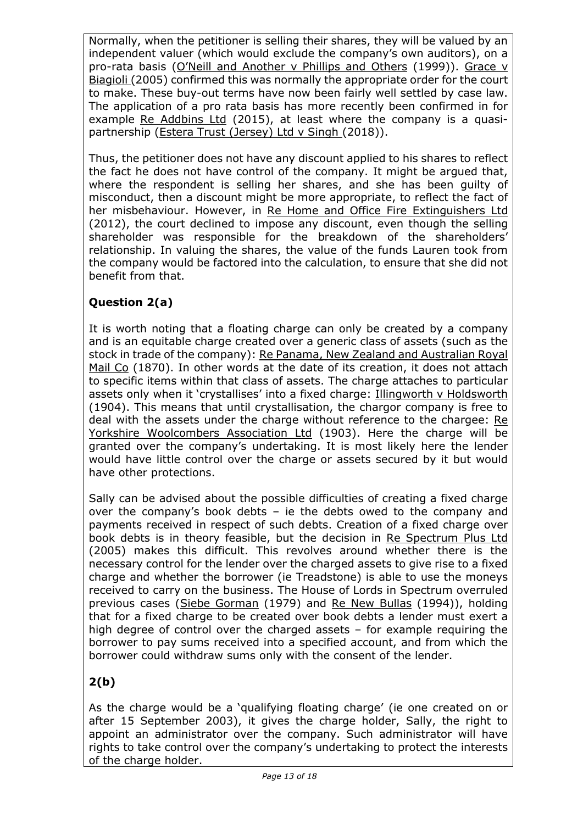Normally, when the petitioner is selling their shares, they will be valued by an independent valuer (which would exclude the company's own auditors), on a pro-rata basis (O'Neill and Another v Phillips and Others (1999)). Grace v Biagioli (2005) confirmed this was normally the appropriate order for the court to make. These buy-out terms have now been fairly well settled by case law. The application of a pro rata basis has more recently been confirmed in for example Re Addbins Ltd (2015), at least where the company is a quasipartnership (*Estera Trust (Jersey*) Ltd v Singh (2018)).

Thus, the petitioner does not have any discount applied to his shares to reflect the fact he does not have control of the company. It might be argued that, where the respondent is selling her shares, and she has been guilty of misconduct, then a discount might be more appropriate, to reflect the fact of her misbehaviour. However, in Re Home and Office Fire Extinguishers Ltd (2012), the court declined to impose any discount, even though the selling shareholder was responsible for the breakdown of the shareholders' relationship. In valuing the shares, the value of the funds Lauren took from the company would be factored into the calculation, to ensure that she did not benefit from that.

# **Question 2(a)**

It is worth noting that a floating charge can only be created by a company and is an equitable charge created over a generic class of assets (such as the stock in trade of the company): Re Panama, New Zealand and Australian Royal Mail Co (1870). In other words at the date of its creation, it does not attach to specific items within that class of assets. The charge attaches to particular assets only when it 'crystallises' into a fixed charge: Illingworth v Holdsworth (1904). This means that until crystallisation, the chargor company is free to deal with the assets under the charge without reference to the chargee: Re Yorkshire Woolcombers Association Ltd (1903). Here the charge will be granted over the company's undertaking. It is most likely here the lender would have little control over the charge or assets secured by it but would have other protections.

Sally can be advised about the possible difficulties of creating a fixed charge over the company's book debts – ie the debts owed to the company and payments received in respect of such debts. Creation of a fixed charge over book debts is in theory feasible, but the decision in Re Spectrum Plus Ltd (2005) makes this difficult. This revolves around whether there is the necessary control for the lender over the charged assets to give rise to a fixed charge and whether the borrower (ie Treadstone) is able to use the moneys received to carry on the business. The House of Lords in Spectrum overruled previous cases (Siebe Gorman (1979) and Re New Bullas (1994)), holding that for a fixed charge to be created over book debts a lender must exert a high degree of control over the charged assets – for example requiring the borrower to pay sums received into a specified account, and from which the borrower could withdraw sums only with the consent of the lender.

# **2(b)**

As the charge would be a 'qualifying floating charge' (ie one created on or after 15 September 2003), it gives the charge holder, Sally, the right to appoint an administrator over the company. Such administrator will have rights to take control over the company's undertaking to protect the interests of the charge holder.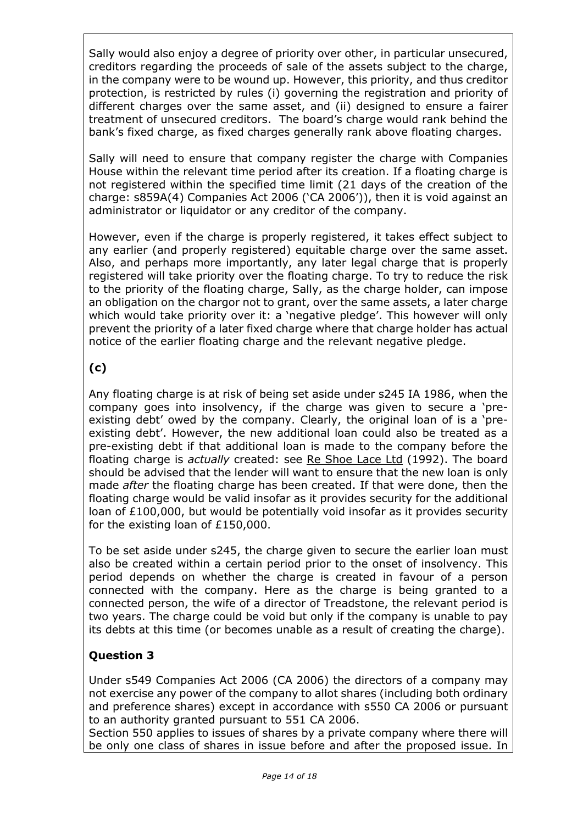Sally would also enjoy a degree of priority over other, in particular unsecured, creditors regarding the proceeds of sale of the assets subject to the charge, in the company were to be wound up. However, this priority, and thus creditor protection, is restricted by rules (i) governing the registration and priority of different charges over the same asset, and (ii) designed to ensure a fairer treatment of unsecured creditors. The board's charge would rank behind the bank's fixed charge, as fixed charges generally rank above floating charges.

Sally will need to ensure that company register the charge with Companies House within the relevant time period after its creation. If a floating charge is not registered within the specified time limit (21 days of the creation of the charge: s859A(4) Companies Act 2006 ('CA 2006')), then it is void against an administrator or liquidator or any creditor of the company.

However, even if the charge is properly registered, it takes effect subject to any earlier (and properly registered) equitable charge over the same asset. Also, and perhaps more importantly, any later legal charge that is properly registered will take priority over the floating charge. To try to reduce the risk to the priority of the floating charge, Sally, as the charge holder, can impose an obligation on the chargor not to grant, over the same assets, a later charge which would take priority over it: a 'negative pledge'. This however will only prevent the priority of a later fixed charge where that charge holder has actual notice of the earlier floating charge and the relevant negative pledge.

# **(c)**

Any floating charge is at risk of being set aside under s245 IA 1986, when the company goes into insolvency, if the charge was given to secure a 'preexisting debt' owed by the company. Clearly, the original loan of is a 'preexisting debt'. However, the new additional loan could also be treated as a pre-existing debt if that additional loan is made to the company before the floating charge is *actually* created: see Re Shoe Lace Ltd (1992). The board should be advised that the lender will want to ensure that the new loan is only made *after* the floating charge has been created. If that were done, then the floating charge would be valid insofar as it provides security for the additional loan of £100,000, but would be potentially void insofar as it provides security for the existing loan of £150,000.

To be set aside under s245, the charge given to secure the earlier loan must also be created within a certain period prior to the onset of insolvency. This period depends on whether the charge is created in favour of a person connected with the company. Here as the charge is being granted to a connected person, the wife of a director of Treadstone, the relevant period is two years. The charge could be void but only if the company is unable to pay its debts at this time (or becomes unable as a result of creating the charge).

# **Question 3**

Under s549 Companies Act 2006 (CA 2006) the directors of a company may not exercise any power of the company to allot shares (including both ordinary and preference shares) except in accordance with s550 CA 2006 or pursuant to an authority granted pursuant to 551 CA 2006.

Section 550 applies to issues of shares by a private company where there will be only one class of shares in issue before and after the proposed issue. In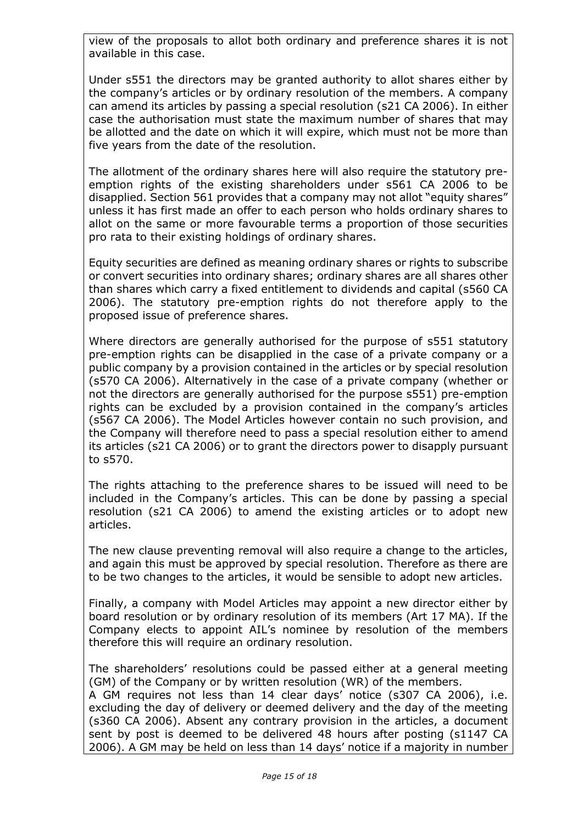view of the proposals to allot both ordinary and preference shares it is not available in this case.

Under s551 the directors may be granted authority to allot shares either by the company's articles or by ordinary resolution of the members. A company can amend its articles by passing a special resolution (s21 CA 2006). In either case the authorisation must state the maximum number of shares that may be allotted and the date on which it will expire, which must not be more than five years from the date of the resolution.

The allotment of the ordinary shares here will also require the statutory preemption rights of the existing shareholders under s561 CA 2006 to be disapplied. Section 561 provides that a company may not allot "equity shares" unless it has first made an offer to each person who holds ordinary shares to allot on the same or more favourable terms a proportion of those securities pro rata to their existing holdings of ordinary shares.

Equity securities are defined as meaning ordinary shares or rights to subscribe or convert securities into ordinary shares; ordinary shares are all shares other than shares which carry a fixed entitlement to dividends and capital (s560 CA 2006). The statutory pre-emption rights do not therefore apply to the proposed issue of preference shares.

Where directors are generally authorised for the purpose of s551 statutory pre-emption rights can be disapplied in the case of a private company or a public company by a provision contained in the articles or by special resolution (s570 CA 2006). Alternatively in the case of a private company (whether or not the directors are generally authorised for the purpose s551) pre-emption rights can be excluded by a provision contained in the company's articles (s567 CA 2006). The Model Articles however contain no such provision, and the Company will therefore need to pass a special resolution either to amend its articles (s21 CA 2006) or to grant the directors power to disapply pursuant to s570.

The rights attaching to the preference shares to be issued will need to be included in the Company's articles. This can be done by passing a special resolution (s21 CA 2006) to amend the existing articles or to adopt new articles.

The new clause preventing removal will also require a change to the articles, and again this must be approved by special resolution. Therefore as there are to be two changes to the articles, it would be sensible to adopt new articles.

Finally, a company with Model Articles may appoint a new director either by board resolution or by ordinary resolution of its members (Art 17 MA). If the Company elects to appoint AIL's nominee by resolution of the members therefore this will require an ordinary resolution.

The shareholders' resolutions could be passed either at a general meeting (GM) of the Company or by written resolution (WR) of the members.

A GM requires not less than 14 clear days' notice (s307 CA 2006), i.e. excluding the day of delivery or deemed delivery and the day of the meeting (s360 CA 2006). Absent any contrary provision in the articles, a document sent by post is deemed to be delivered 48 hours after posting (s1147 CA 2006). A GM may be held on less than 14 days' notice if a majority in number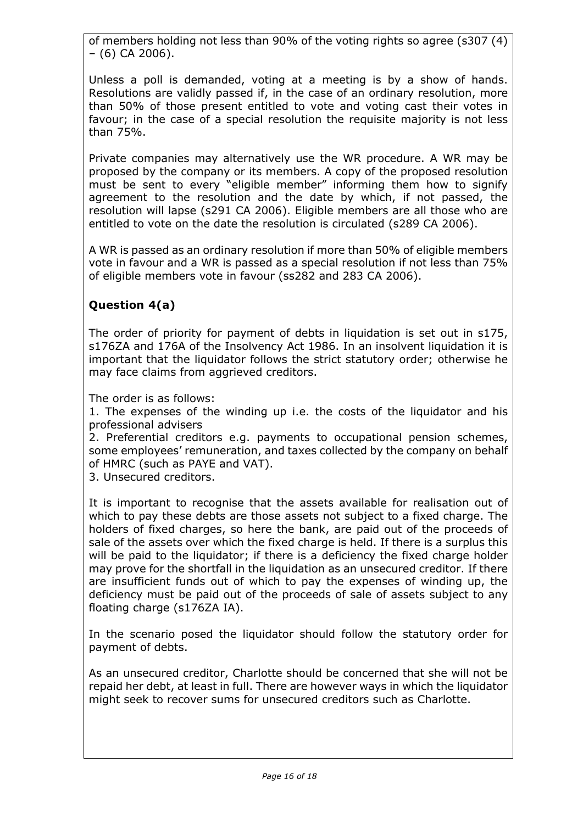of members holding not less than 90% of the voting rights so agree (s307 (4) – (6) CA 2006).

Unless a poll is demanded, voting at a meeting is by a show of hands. Resolutions are validly passed if, in the case of an ordinary resolution, more than 50% of those present entitled to vote and voting cast their votes in favour; in the case of a special resolution the requisite majority is not less than 75%.

Private companies may alternatively use the WR procedure. A WR may be proposed by the company or its members. A copy of the proposed resolution must be sent to every "eligible member" informing them how to signify agreement to the resolution and the date by which, if not passed, the resolution will lapse (s291 CA 2006). Eligible members are all those who are entitled to vote on the date the resolution is circulated (s289 CA 2006).

A WR is passed as an ordinary resolution if more than 50% of eligible members vote in favour and a WR is passed as a special resolution if not less than 75% of eligible members vote in favour (ss282 and 283 CA 2006).

# **Question 4(a)**

The order of priority for payment of debts in liquidation is set out in s175, s176ZA and 176A of the Insolvency Act 1986. In an insolvent liquidation it is important that the liquidator follows the strict statutory order; otherwise he may face claims from aggrieved creditors.

The order is as follows:

1. The expenses of the winding up i.e. the costs of the liquidator and his professional advisers

2. Preferential creditors e.g. payments to occupational pension schemes, some employees' remuneration, and taxes collected by the company on behalf of HMRC (such as PAYE and VAT).

3. Unsecured creditors.

It is important to recognise that the assets available for realisation out of which to pay these debts are those assets not subject to a fixed charge. The holders of fixed charges, so here the bank, are paid out of the proceeds of sale of the assets over which the fixed charge is held. If there is a surplus this will be paid to the liquidator; if there is a deficiency the fixed charge holder may prove for the shortfall in the liquidation as an unsecured creditor. If there are insufficient funds out of which to pay the expenses of winding up, the deficiency must be paid out of the proceeds of sale of assets subject to any floating charge (s176ZA IA).

In the scenario posed the liquidator should follow the statutory order for payment of debts.

As an unsecured creditor, Charlotte should be concerned that she will not be repaid her debt, at least in full. There are however ways in which the liquidator might seek to recover sums for unsecured creditors such as Charlotte.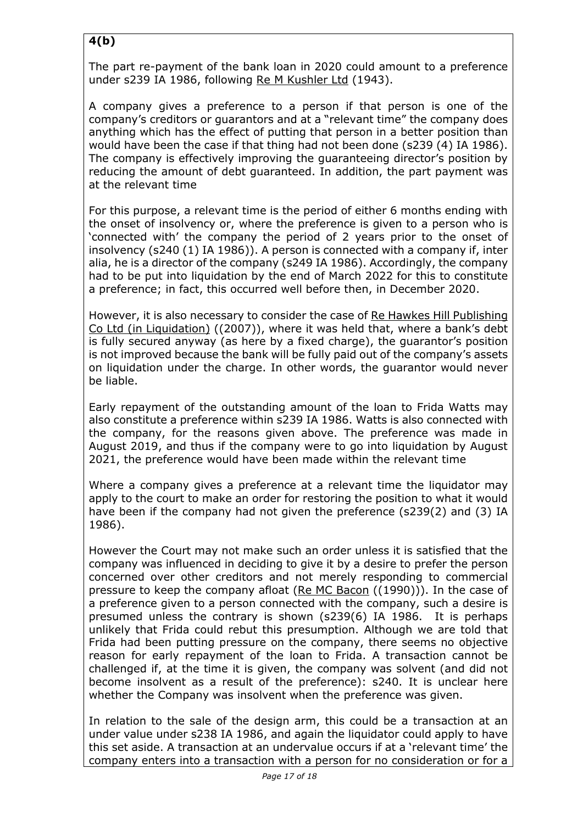# **4(b)**

The part re-payment of the bank loan in 2020 could amount to a preference under s239 IA 1986, following Re M Kushler Ltd (1943).

A company gives a preference to a person if that person is one of the company's creditors or guarantors and at a "relevant time" the company does anything which has the effect of putting that person in a better position than would have been the case if that thing had not been done (s239 (4) IA 1986). The company is effectively improving the guaranteeing director's position by reducing the amount of debt guaranteed. In addition, the part payment was at the relevant time

For this purpose, a relevant time is the period of either 6 months ending with the onset of insolvency or, where the preference is given to a person who is 'connected with' the company the period of 2 years prior to the onset of insolvency (s240 (1) IA 1986)). A person is connected with a company if, inter alia, he is a director of the company (s249 IA 1986). Accordingly, the company had to be put into liquidation by the end of March 2022 for this to constitute a preference; in fact, this occurred well before then, in December 2020.

However, it is also necessary to consider the case of Re Hawkes Hill Publishing Co Ltd (in Liquidation) ((2007)), where it was held that, where a bank's debt is fully secured anyway (as here by a fixed charge), the guarantor's position is not improved because the bank will be fully paid out of the company's assets on liquidation under the charge. In other words, the guarantor would never be liable.

Early repayment of the outstanding amount of the loan to Frida Watts may also constitute a preference within s239 IA 1986. Watts is also connected with the company, for the reasons given above. The preference was made in August 2019, and thus if the company were to go into liquidation by August 2021, the preference would have been made within the relevant time

Where a company gives a preference at a relevant time the liquidator may apply to the court to make an order for restoring the position to what it would have been if the company had not given the preference (s239(2) and (3) IA 1986).

However the Court may not make such an order unless it is satisfied that the company was influenced in deciding to give it by a desire to prefer the person concerned over other creditors and not merely responding to commercial pressure to keep the company afloat (Re MC Bacon ((1990))). In the case of a preference given to a person connected with the company, such a desire is presumed unless the contrary is shown (s239(6) IA 1986. It is perhaps unlikely that Frida could rebut this presumption. Although we are told that Frida had been putting pressure on the company, there seems no objective reason for early repayment of the loan to Frida. A transaction cannot be challenged if, at the time it is given, the company was solvent (and did not become insolvent as a result of the preference): s240. It is unclear here whether the Company was insolvent when the preference was given.

In relation to the sale of the design arm, this could be a transaction at an under value under s238 IA 1986, and again the liquidator could apply to have this set aside. A transaction at an undervalue occurs if at a 'relevant time' the company enters into a transaction with a person for no consideration or for a